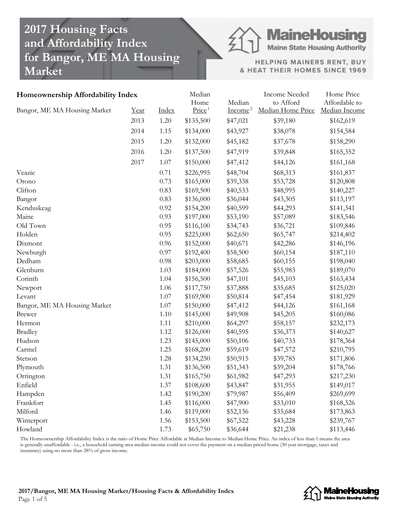# **2017 Housing Facts and Affordability Index for Bangor, ME MA Housing Market**

**MaineHousing** 

**Maine State Housing Authority** 

HELPING MAINERS RENT, BUY & HEAT THEIR HOMES SINCE 1969

| Homeownership Affordability Index |      |          | Median<br>Home     | Median    | <b>Income Needed</b><br>to Afford | Home Price<br>Affordable to |
|-----------------------------------|------|----------|--------------------|-----------|-----------------------------------|-----------------------------|
| Bangor, ME MA Housing Market      | Year | Index    | Price <sup>1</sup> | $Income2$ | Median Home Price                 | Median Income               |
|                                   | 2013 | 1.20     | \$135,500          | \$47,021  | \$39,180                          | \$162,619                   |
|                                   | 2014 | 1.15     | \$134,000          | \$43,927  | \$38,078                          | \$154,584                   |
|                                   | 2015 | 1.20     | \$132,000          | \$45,182  | \$37,678                          | \$158,290                   |
|                                   | 2016 | 1.20     | \$137,500          | \$47,919  | \$39,848                          | \$165,352                   |
|                                   | 2017 | 1.07     | \$150,000          | \$47,412  | \$44,126                          | \$161,168                   |
| Veazie                            |      | 0.71     | \$226,995          | \$48,704  | \$68,313                          | \$161,837                   |
| Orono                             |      | 0.73     | \$165,000          | \$39,338  | \$53,728                          | \$120,808                   |
| Clifton                           |      | 0.83     | \$169,500          | \$40,533  | \$48,995                          | \$140,227                   |
| Bangor                            |      | 0.83     | \$136,000          | \$36,044  | \$43,305                          | \$113,197                   |
| Kenduskeag                        |      | 0.92     | \$154,200          | \$40,599  | \$44,293                          | \$141,341                   |
| Maine                             |      | 0.93     | \$197,000          | \$53,190  | \$57,089                          | \$183,546                   |
| Old Town                          |      | 0.95     | \$116,100          | \$34,743  | \$36,721                          | \$109,846                   |
| Holden                            |      | 0.95     | \$225,000          | \$62,650  | \$65,747                          | \$214,402                   |
| Dixmont                           |      | 0.96     | \$152,000          | \$40,671  | \$42,286                          | \$146,196                   |
| Newburgh                          |      | 0.97     | \$192,400          | \$58,500  | \$60,154                          | \$187,110                   |
| Dedham                            |      | 0.98     | \$203,000          | \$58,685  | \$60,155                          | \$198,040                   |
| Glenburn                          |      | 1.03     | \$184,000          | \$57,526  | \$55,983                          | \$189,070                   |
| Corinth                           |      | 1.04     | \$156,500          | \$47,101  | \$45,103                          | \$163,434                   |
| Newport                           |      | 1.06     | \$117,750          | \$37,888  | \$35,685                          | \$125,020                   |
| Levant                            |      | $1.07\,$ | \$169,900          | \$50,814  | \$47,454                          | \$181,929                   |
| Bangor, ME MA Housing Market      |      | $1.07\,$ | \$150,000          | \$47,412  | \$44,126                          | \$161,168                   |
| <b>Brewer</b>                     |      | $1.10\,$ | \$145,000          | \$49,908  | \$45,205                          | \$160,086                   |
| Hermon                            |      | 1.11     | \$210,000          | \$64,297  | \$58,157                          | \$232,173                   |
| <b>Bradley</b>                    |      | 1.12     | \$126,000          | \$40,595  | \$36,373                          | \$140,627                   |
| Hudson                            |      | 1.23     | \$145,000          | \$50,106  | \$40,733                          | \$178,364                   |
| Carmel                            |      | 1.25     | \$168,200          | \$59,619  | \$47,572                          | \$210,795                   |
| Stetson                           |      | 1.28     | \$134,250          | \$50,915  | \$39,785                          | \$171,806                   |
| Plymouth                          |      | 1.31     | \$136,500          | \$51,343  | \$39,204                          | \$178,766                   |
| Orrington                         |      | 1.31     | \$165,750          | \$61,982  | \$47,293                          | \$217,230                   |
| Enfield                           |      | 1.37     | \$108,600          | \$43,847  | \$31,955                          | \$149,017                   |
| Hampden                           |      | 1.42     | \$190,200          | \$79,987  | \$56,409                          | \$269,699                   |
| Frankfort                         |      | 1.45     | \$116,000          | \$47,900  | \$33,010                          | \$168,326                   |
| Milford                           |      | 1.46     | \$119,000          | \$52,136  | \$35,684                          | \$173,863                   |
| Winterport                        |      | 1.56     | \$153,500          | \$67,522  | \$43,228                          | \$239,767                   |
| Howland                           |      | 1.73     | \$65,750           | \$36,644  | \$21,238                          | \$113,446                   |

The Homeownership Affordability Index is the ratio of Home Price Affordable at Median Income to Median Home Price. An index of less than 1 means the area is generally unaffordable - i.e., a household earning area median income could not cover the payment on a median priced home (30 year mortgage, taxes and insurance) using no more than 28% of gross income.

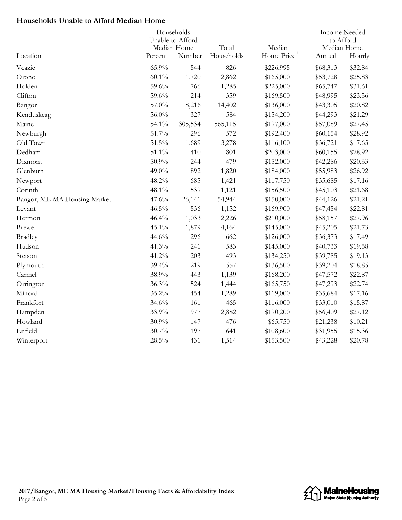## **Households Unable to Afford Median Home**

| Households                   |                  |         |            |                         |             | <b>Income Needed</b> |  |
|------------------------------|------------------|---------|------------|-------------------------|-------------|----------------------|--|
|                              | Unable to Afford |         |            |                         | to Afford   |                      |  |
|                              | Median Home      |         | Total      | Median                  | Median Home |                      |  |
| Location                     | Percent          | Number  | Households | Home Price <sup>1</sup> | Annual      | Hourly               |  |
| Veazie                       | 65.9%            | 544     | 826        | \$226,995               | \$68,313    | \$32.84              |  |
| Orono                        | $60.1\%$         | 1,720   | 2,862      | \$165,000               | \$53,728    | \$25.83              |  |
| Holden                       | 59.6%            | 766     | 1,285      | \$225,000               | \$65,747    | \$31.61              |  |
| Clifton                      | 59.6%            | 214     | 359        | \$169,500               | \$48,995    | \$23.56              |  |
| Bangor                       | 57.0%            | 8,216   | 14,402     | \$136,000               | \$43,305    | \$20.82              |  |
| Kenduskeag                   | 56.0%            | 327     | 584        | \$154,200               | \$44,293    | \$21.29              |  |
| Maine                        | 54.1%            | 305,534 | 565,115    | \$197,000               | \$57,089    | \$27.45              |  |
| Newburgh                     | 51.7%            | 296     | 572        | \$192,400               | \$60,154    | \$28.92              |  |
| Old Town                     | $51.5\%$         | 1,689   | 3,278      | \$116,100               | \$36,721    | \$17.65              |  |
| Dedham                       | 51.1%            | 410     | 801        | \$203,000               | \$60,155    | \$28.92              |  |
| Dixmont                      | 50.9%            | 244     | 479        | \$152,000               | \$42,286    | \$20.33              |  |
| Glenburn                     | 49.0%            | 892     | 1,820      | \$184,000               | \$55,983    | \$26.92              |  |
| Newport                      | 48.2%            | 685     | 1,421      | \$117,750               | \$35,685    | \$17.16              |  |
| Corinth                      | 48.1%            | 539     | 1,121      | \$156,500               | \$45,103    | \$21.68              |  |
| Bangor, ME MA Housing Market | 47.6%            | 26,141  | 54,944     | \$150,000               | \$44,126    | \$21.21              |  |
| Levant                       | $46.5\%$         | 536     | 1,152      | \$169,900               | \$47,454    | \$22.81              |  |
| Hermon                       | 46.4%            | 1,033   | 2,226      | \$210,000               | \$58,157    | \$27.96              |  |
| <b>Brewer</b>                | 45.1%            | 1,879   | 4,164      | \$145,000               | \$45,205    | \$21.73              |  |
| <b>Bradley</b>               | 44.6%            | 296     | 662        | \$126,000               | \$36,373    | \$17.49              |  |
| Hudson                       | 41.3%            | 241     | 583        | \$145,000               | \$40,733    | \$19.58              |  |
| Stetson                      | 41.2%            | 203     | 493        | \$134,250               | \$39,785    | \$19.13              |  |
| Plymouth                     | 39.4%            | 219     | 557        | \$136,500               | \$39,204    | \$18.85              |  |
| Carmel                       | 38.9%            | 443     | 1,139      | \$168,200               | \$47,572    | \$22.87              |  |
| Orrington                    | 36.3%            | 524     | 1,444      | \$165,750               | \$47,293    | \$22.74              |  |
| Milford                      | 35.2%            | 454     | 1,289      | \$119,000               | \$35,684    | \$17.16              |  |
| Frankfort                    | 34.6%            | 161     | 465        | \$116,000               | \$33,010    | \$15.87              |  |
| Hampden                      | 33.9%            | 977     | 2,882      | \$190,200               | \$56,409    | \$27.12              |  |
| Howland                      | $30.9\%$         | 147     | 476        | \$65,750                | \$21,238    | \$10.21              |  |
| Enfield                      | 30.7%            | 197     | 641        | \$108,600               | \$31,955    | \$15.36              |  |
| Winterport                   | $28.5\%$         | 431     | 1,514      | \$153,500               | \$43,228    | \$20.78              |  |

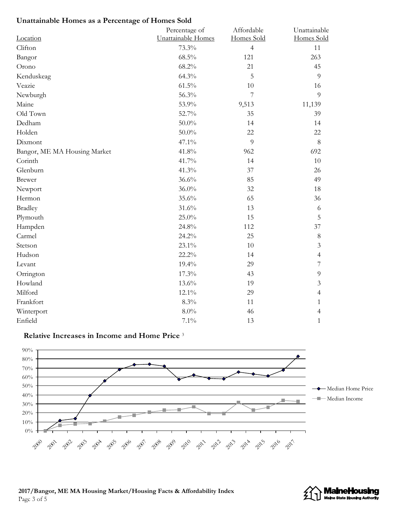# **Unattainable Homes as a Percentage of Homes Sold**

|                              | Percentage of      | Affordable     | Unattainable             |
|------------------------------|--------------------|----------------|--------------------------|
| Location                     | Unattainable Homes | Homes Sold     | Homes Sold               |
| Clifton                      | 73.3%              | $\overline{4}$ | 11                       |
| Bangor                       | 68.5%              | 121            | 263                      |
| Orono                        | 68.2%              | 21             | 45                       |
| Kenduskeag                   | 64.3%              | 5              | 9                        |
| Veazie                       | $61.5\%$           | 10             | 16                       |
| Newburgh                     | 56.3%              | $\overline{7}$ | 9                        |
| Maine                        | 53.9%              | 9,513          | 11,139                   |
| Old Town                     | 52.7%              | 35             | 39                       |
| Dedham                       | $50.0\%$           | 14             | 14                       |
| Holden                       | 50.0%              | 22             | 22                       |
| Dixmont                      | 47.1%              | 9              | 8                        |
| Bangor, ME MA Housing Market | 41.8%              | 962            | 692                      |
| Corinth                      | 41.7%              | 14             | 10                       |
| Glenburn                     | 41.3%              | 37             | 26                       |
| <b>Brewer</b>                | 36.6%              | 85             | 49                       |
| Newport                      | 36.0%              | 32             | 18                       |
| Hermon                       | 35.6%              | 65             | 36                       |
| <b>Bradley</b>               | 31.6%              | 13             | 6                        |
| Plymouth                     | 25.0%              | 15             | 5                        |
| Hampden                      | 24.8%              | 112            | 37                       |
| Carmel                       | 24.2%              | 25             | $8\,$                    |
| Stetson                      | 23.1%              | 10             | $\mathfrak{Z}$           |
| Hudson                       | 22.2%              | 14             | $\overline{4}$           |
| Levant                       | 19.4%              | 29             | $\overline{\mathcal{I}}$ |
| Orrington                    | 17.3%              | 43             | $\overline{9}$           |
| Howland                      | 13.6%              | 19             | $\mathfrak{Z}$           |
| Milford                      | 12.1%              | 29             | 4                        |
| Frankfort                    | 8.3%               | 11             | 1                        |
| Winterport                   | $8.0\%$            | 46             | 4                        |
| Enfield                      | 7.1%               | 13             | $\mathbf{1}$             |

### **Relative Increases in Income and Home Price** 3





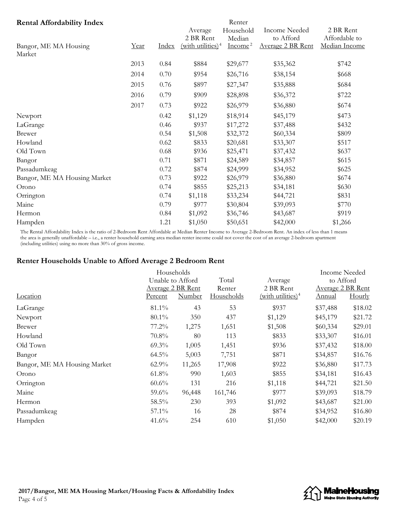| <b>Rental Affordability Index</b> |      |       |                      | Renter              |                          |               |
|-----------------------------------|------|-------|----------------------|---------------------|--------------------------|---------------|
|                                   |      |       | Average              | Household           | <b>Income Needed</b>     | 2 BR Rent     |
|                                   |      |       | 2 BR Rent            | Median              | to Afford                | Affordable to |
| Bangor, ME MA Housing             | Year | Index | (with utilities) $4$ | Income <sup>2</sup> | <b>Average 2 BR Rent</b> | Median Income |
| Market                            |      |       |                      |                     |                          |               |
|                                   | 2013 | 0.84  | \$884                | \$29,677            | \$35,362                 | \$742         |
|                                   | 2014 | 0.70  | \$954                | \$26,716            | \$38,154                 | \$668         |
|                                   | 2015 | 0.76  | \$897                | \$27,347            | \$35,888                 | \$684         |
|                                   | 2016 | 0.79  | \$909                | \$28,898            | \$36,372                 | \$722         |
|                                   | 2017 | 0.73  | \$922                | \$26,979            | \$36,880                 | \$674         |
| Newport                           |      | 0.42  | \$1,129              | \$18,914            | \$45,179                 | \$473         |
| LaGrange                          |      | 0.46  | \$937                | \$17,272            | \$37,488                 | \$432         |
| Brewer                            |      | 0.54  | \$1,508              | \$32,372            | \$60,334                 | \$809         |
| Howland                           |      | 0.62  | \$833                | \$20,681            | \$33,307                 | \$517         |
| Old Town                          |      | 0.68  | \$936                | \$25,471            | \$37,432                 | \$637         |
| Bangor                            |      | 0.71  | \$871                | \$24,589            | \$34,857                 | \$615         |
| Passadumkeag                      |      | 0.72  | \$874                | \$24,999            | \$34,952                 | \$625         |
| Bangor, ME MA Housing Market      |      | 0.73  | \$922                | \$26,979            | \$36,880                 | \$674         |
| Orono                             |      | 0.74  | \$855                | \$25,213            | \$34,181                 | \$630         |
| Orrington                         |      | 0.74  | \$1,118              | \$33,234            | \$44,721                 | \$831         |
| Maine                             |      | 0.79  | \$977                | \$30,804            | \$39,093                 | \$770         |
| Hermon                            |      | 0.84  | \$1,092              | \$36,746            | \$43,687                 | \$919         |
| Hampden                           |      | 1.21  | \$1,050              | \$50,651            | \$42,000                 | \$1,266       |

The Rental Affordability Index is the ratio of 2-Bedroom Rent Affordable at Median Renter Income to Average 2-Bedroom Rent. An index of less than 1 means the area is generally unaffordable – i.e., a renter household earning area median renter income could not cover the cost of an average 2-bedroom apartment (including utilities) using no more than 30% of gross income.

# **Renter Households Unable to Afford Average 2 Bedroom Rent**

|                              |          | Households               |            |                      | Income Needed            |         |
|------------------------------|----------|--------------------------|------------|----------------------|--------------------------|---------|
|                              |          | Unable to Afford         | Total      | Average              | to Afford                |         |
|                              |          | <b>Average 2 BR Rent</b> |            | 2 BR Rent            | <b>Average 2 BR Rent</b> |         |
| Location                     | Percent  | <u>Number</u>            | Households | $(with utilities)^4$ | Annual                   | Hourly  |
| LaGrange                     | 81.1%    | 43                       | 53         | \$937                | \$37,488                 | \$18.02 |
| Newport                      | $80.1\%$ | 350                      | 437        | \$1,129              | \$45,179                 | \$21.72 |
| <b>Brewer</b>                | 77.2%    | 1,275                    | 1,651      | \$1,508              | \$60,334                 | \$29.01 |
| Howland                      | 70.8%    | 80                       | 113        | \$833                | \$33,307                 | \$16.01 |
| Old Town                     | $69.3\%$ | 1,005                    | 1,451      | \$936                | \$37,432                 | \$18.00 |
| Bangor                       | $64.5\%$ | 5,003                    | 7,751      | \$871                | \$34,857                 | \$16.76 |
| Bangor, ME MA Housing Market | $62.9\%$ | 11,265                   | 17,908     | \$922                | \$36,880                 | \$17.73 |
| Orono                        | $61.8\%$ | 990                      | 1,603      | \$855                | \$34,181                 | \$16.43 |
| Orrington                    | $60.6\%$ | 131                      | 216        | \$1,118              | \$44,721                 | \$21.50 |
| Maine                        | $59.6\%$ | 96,448                   | 161,746    | \$977                | \$39,093                 | \$18.79 |
| Hermon                       | 58.5%    | 230                      | 393        | \$1,092              | \$43,687                 | \$21.00 |
| Passadumkeag                 | $57.1\%$ | 16                       | 28         | \$874                | \$34,952                 | \$16.80 |
| Hampden                      | 41.6%    | 254                      | 610        | \$1,050              | \$42,000                 | \$20.19 |